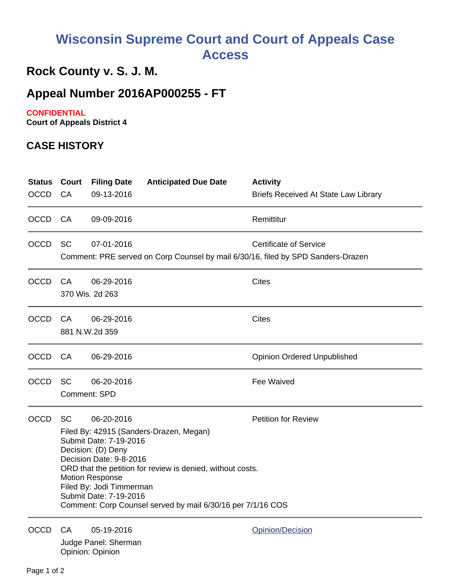# **Wisconsin Supreme Court and Court of Appeals Case Access**

## **Rock County v. S. J. M.**

### **Appeal Number 2016AP000255 - FT**

#### **CONFIDENTIAL**

**Court of Appeals District 4**

#### **CASE HISTORY**

| <b>Status Court</b><br><b>OCCD</b> | CA        | <b>Filing Date</b><br>09-13-2016                                                                                                                                      | <b>Anticipated Due Date</b>                                                                                                                                          | <b>Activity</b><br><b>Briefs Received At State Law Library</b>                                                    |
|------------------------------------|-----------|-----------------------------------------------------------------------------------------------------------------------------------------------------------------------|----------------------------------------------------------------------------------------------------------------------------------------------------------------------|-------------------------------------------------------------------------------------------------------------------|
| <b>OCCD</b>                        | <b>CA</b> | 09-09-2016                                                                                                                                                            |                                                                                                                                                                      | Remittitur                                                                                                        |
| <b>OCCD</b>                        | <b>SC</b> | 07-01-2016                                                                                                                                                            |                                                                                                                                                                      | <b>Certificate of Service</b><br>Comment: PRE served on Corp Counsel by mail 6/30/16, filed by SPD Sanders-Drazen |
| <b>OCCD</b>                        | CA        | 06-29-2016<br>370 Wis. 2d 263                                                                                                                                         |                                                                                                                                                                      | <b>Cites</b>                                                                                                      |
| <b>OCCD</b>                        | CA        | 06-29-2016<br>881 N.W.2d 359                                                                                                                                          |                                                                                                                                                                      | <b>Cites</b>                                                                                                      |
| <b>OCCD</b>                        | CA        | 06-29-2016                                                                                                                                                            |                                                                                                                                                                      | <b>Opinion Ordered Unpublished</b>                                                                                |
| <b>OCCD</b>                        | <b>SC</b> | 06-20-2016<br><b>Comment: SPD</b>                                                                                                                                     |                                                                                                                                                                      | Fee Waived                                                                                                        |
| <b>OCCD</b>                        | <b>SC</b> | 06-20-2016<br>Submit Date: 7-19-2016<br>Decision: (D) Deny<br>Decision Date: 9-8-2016<br><b>Motion Response</b><br>Filed By: Jodi Timmerman<br>Submit Date: 7-19-2016 | Filed By: 42915 (Sanders-Drazen, Megan)<br>ORD that the petition for review is denied, without costs.<br>Comment: Corp Counsel served by mail 6/30/16 per 7/1/16 COS | <b>Petition for Review</b>                                                                                        |
| <b>OCCD</b>                        | CA.       | 05-19-2016<br>Judge Panel: Sherman                                                                                                                                    |                                                                                                                                                                      | Opinion/Decision                                                                                                  |

Opinion: Opinion